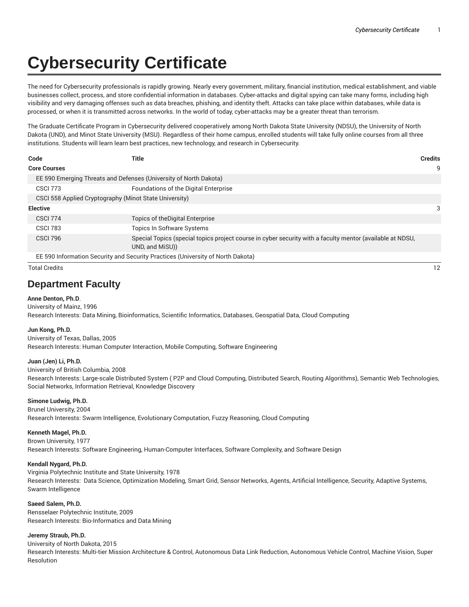# **Cybersecurity Certificate**

The need for Cybersecurity professionals is rapidly growing. Nearly every government, military, financial institution, medical establishment, and viable businesses collect, process, and store confidential information in databases. Cyber-attacks and digital spying can take many forms, including high visibility and very damaging offenses such as data breaches, phishing, and identity theft. Attacks can take place within databases, while data is processed, or when it is transmitted across networks. In the world of today, cyber-attacks may be a greater threat than terrorism.

The Graduate Certificate Program in Cybersecurity delivered cooperatively among North Dakota State University (NDSU), the University of North Dakota (UND), and Minot State University (MSU). Regardless of their home campus, enrolled students will take fully online courses from all three institutions. Students will learn learn best practices, new technology, and research in Cybersecurity.

| Code                 | <b>Title</b>                                                                    | <b>Credits</b>                                                                                            |    |
|----------------------|---------------------------------------------------------------------------------|-----------------------------------------------------------------------------------------------------------|----|
| <b>Core Courses</b>  |                                                                                 |                                                                                                           | 9  |
|                      | EE 590 Emerging Threats and Defenses (University of North Dakota)               |                                                                                                           |    |
| <b>CSCI 773</b>      | Foundations of the Digital Enterprise                                           |                                                                                                           |    |
|                      | CSCI 558 Applied Cryptography (Minot State University)                          |                                                                                                           |    |
| <b>Elective</b>      |                                                                                 |                                                                                                           | 3  |
| <b>CSCI 774</b>      | Topics of the Digital Enterprise                                                |                                                                                                           |    |
| <b>CSCI 783</b>      | <b>Topics In Software Systems</b>                                               |                                                                                                           |    |
| <b>CSCI 796</b>      | UND, and MiSU)                                                                  | Special Topics (special topics project course in cyber security with a faculty mentor (available at NDSU, |    |
|                      | EE 590 Information Security and Security Practices (University of North Dakota) |                                                                                                           |    |
| <b>Total Credits</b> |                                                                                 |                                                                                                           | 12 |

## **Department Faculty**

#### **Anne Denton, Ph.D**.

University of Mainz, 1996 Research Interests: Data Mining, Bioinformatics, Scientific Informatics, Databases, Geospatial Data, Cloud Computing

#### **Jun Kong, Ph.D.**

University of Texas, Dallas, 2005 Research Interests: Human Computer Interaction, Mobile Computing, Software Engineering

#### **Juan (Jen) Li, Ph.D.**

University of British Columbia, 2008

Research Interests: Large-scale Distributed System ( P2P and Cloud Computing, Distributed Search, Routing Algorithms), Semantic Web Technologies, Social Networks, Information Retrieval, Knowledge Discovery

#### **Simone Ludwig, Ph.D.**

Brunel University, 2004 Research Interests: Swarm Intelligence, Evolutionary Computation, Fuzzy Reasoning, Cloud Computing

#### **Kenneth Magel, Ph.D.**

Brown University, 1977

Research Interests: Software Engineering, Human-Computer Interfaces, Software Complexity, and Software Design

#### **Kendall Nygard, Ph.D.**

Virginia Polytechnic Institute and State University, 1978 Research Interests: Data Science, Optimization Modeling, Smart Grid, Sensor Networks, Agents, Artificial Intelligence, Security, Adaptive Systems, Swarm Intelligence

#### **Saeed Salem, Ph.D.**

Rensselaer Polytechnic Institute, 2009 Research Interests: Bio-Informatics and Data Mining

#### **Jeremy Straub, Ph.D.**

University of North Dakota, 2015 Research Interests: Multi-tier Mission Architecture & Control, Autonomous Data Link Reduction, Autonomous Vehicle Control, Machine Vision, Super Resolution